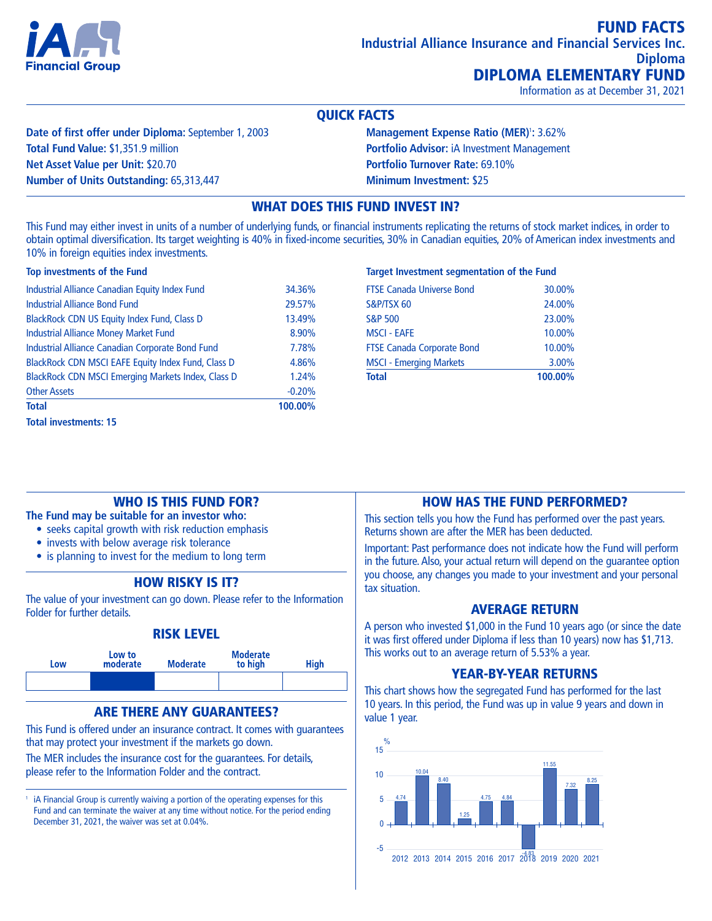

Information as at December 31, 2021

#### QUICK FACTS

**Date of first offer under Diploma:** September 1, 2003 **Total Fund Value:** \$1,351.9 million **Net Asset Value per Unit:** \$20.70 **Number of Units Outstanding:** 65,313,447

**Management Expense Ratio (MER)**<sup>1</sup> **:** 3.62% **Portfolio Advisor:** iA Investment Management **Portfolio Turnover Rate:** 69.10% **Minimum Investment:** \$25

### WHAT DOES THIS FUND INVEST IN?

This Fund may either invest in units of a number of underlying funds, or financial instruments replicating the returns of stock market indices, in order to obtain optimal diversification. Its target weighting is 40% in fixed-income securities, 30% in Canadian equities, 20% of American index investments and 10% in foreign equities index investments.

# **Top investments of the Fund**

| Industrial Alliance Canadian Equity Index Fund     | 34.36%   |
|----------------------------------------------------|----------|
| <b>Industrial Alliance Bond Fund</b>               | 29.57%   |
| BlackRock CDN US Equity Index Fund, Class D        | 13.49%   |
| <b>Industrial Alliance Money Market Fund</b>       | 8.90%    |
| Industrial Alliance Canadian Corporate Bond Fund   | 7.78%    |
| BlackRock CDN MSCI EAFE Equity Index Fund, Class D | 4.86%    |
| BlackRock CDN MSCI Emerging Markets Index, Class D | 1.24%    |
| <b>Other Assets</b>                                | $-0.20%$ |
| <b>Total</b>                                       | 100.00%  |
| <b>Total investments: 15</b>                       |          |

#### **Target Investment segmentation of the Fund**

| <b>Total</b>                      | 100.00% |
|-----------------------------------|---------|
| <b>MSCI - Emerging Markets</b>    | 3.00%   |
| <b>FTSE Canada Corporate Bond</b> | 10.00%  |
| <b>MSCI - EAFE</b>                | 10.00%  |
| <b>S&amp;P 500</b>                | 23,00%  |
| S&P/TSX 60                        | 24.00%  |
| <b>FTSE Canada Universe Bond</b>  | 30.00%  |
|                                   |         |

### WHO IS THIS FUND FOR?

**The Fund may be suitable for an investor who:**

- seeks capital growth with risk reduction emphasis
- invests with below average risk tolerance
- is planning to invest for the medium to long term

### HOW RISKY IS IT?

The value of your investment can go down. Please refer to the Information Folder for further details.

### RISK LEVEL



### ARE THERE ANY GUARANTEES?

This Fund is offered under an insurance contract. It comes with guarantees that may protect your investment if the markets go down.

The MER includes the insurance cost for the guarantees. For details, please refer to the Information Folder and the contract.

iA Financial Group is currently waiving a portion of the operating expenses for this Fund and can terminate the waiver at any time without notice. For the period ending December 31, 2021, the waiver was set at 0.04%.

### HOW HAS THE FUND PERFORMED?

This section tells you how the Fund has performed over the past years. Returns shown are after the MER has been deducted.

Important: Past performance does not indicate how the Fund will perform in the future. Also, your actual return will depend on the guarantee option you choose, any changes you made to your investment and your personal tax situation.

### AVERAGE RETURN

A person who invested \$1,000 in the Fund 10 years ago (or since the date it was first offered under Diploma if less than 10 years) now has \$1,713. This works out to an average return of 5.53% a year.

### YEAR-BY-YEAR RETURNS

This chart shows how the segregated Fund has performed for the last 10 years. In this period, the Fund was up in value 9 years and down in value 1 year.